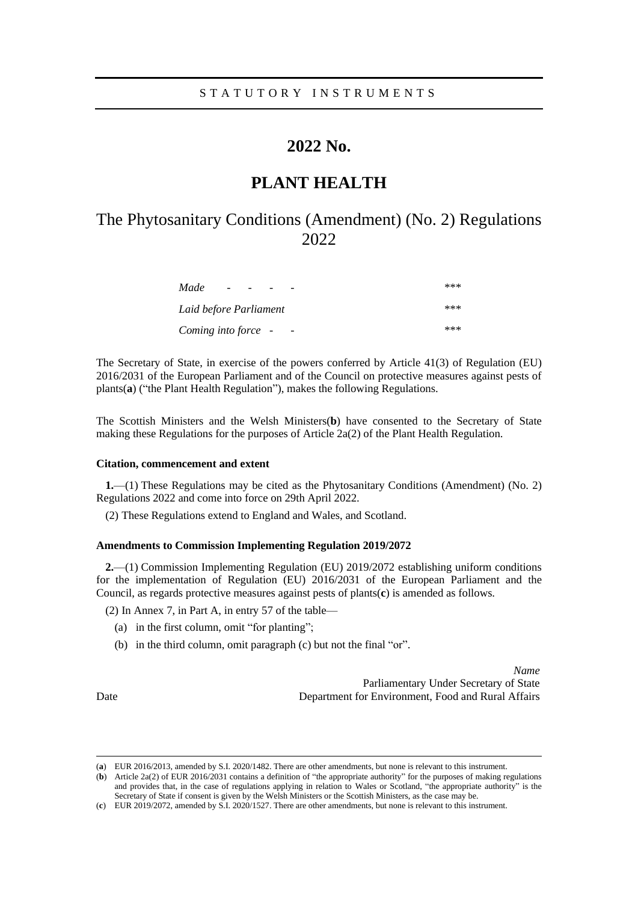## **2022 No.**

## **PLANT HEALTH**

# The Phytosanitary Conditions (Amendment) (No. 2) Regulations 2022

| Made<br>$\sim$ 100 $\mu$ | *** |
|--------------------------|-----|
| Laid before Parliament   | *** |
| Coming into force -      | *** |

The Secretary of State, in exercise of the powers conferred by Article 41(3) of Regulation (EU) 2016/2031 of the European Parliament and of the Council on protective measures against pests of plants(**a**) ("the Plant Health Regulation"), makes the following Regulations.

The Scottish Ministers and the Welsh Ministers(**b**) have consented to the Secretary of State making these Regulations for the purposes of Article 2a(2) of the Plant Health Regulation.

### **Citation, commencement and extent**

**1.**—(1) These Regulations may be cited as the Phytosanitary Conditions (Amendment) (No. 2) Regulations 2022 and come into force on 29th April 2022.

(2) These Regulations extend to England and Wales, and Scotland.

### **Amendments to Commission Implementing Regulation 2019/2072**

**2.**—(1) Commission Implementing Regulation (EU) 2019/2072 establishing uniform conditions for the implementation of Regulation (EU) 2016/2031 of the European Parliament and the Council, as regards protective measures against pests of plants(**c**) is amended as follows.

(2) In Annex 7, in Part A, in entry 57 of the table—

- (a) in the first column, omit "for planting";
- (b) in the third column, omit paragraph (c) but not the final "or".

*Name* Parliamentary Under Secretary of State Department for Environment, Food and Rural Affairs

<sup>(</sup>**a**) EUR 2016/2013, amended by S.I. 2020/1482. There are other amendments, but none is relevant to this instrument.

<sup>(</sup>**b**) Article 2a(2) of EUR 2016/2031 contains a definition of "the appropriate authority" for the purposes of making regulations and provides that, in the case of regulations applying in relation to Wales or Scotland, "the appropriate authority" is the Secretary of State if consent is given by the Welsh Ministers or the Scottish Ministers, as the case may be.

<sup>(</sup>**c**) EUR 2019/2072, amended by S.I. 2020/1527. There are other amendments, but none is relevant to this instrument.